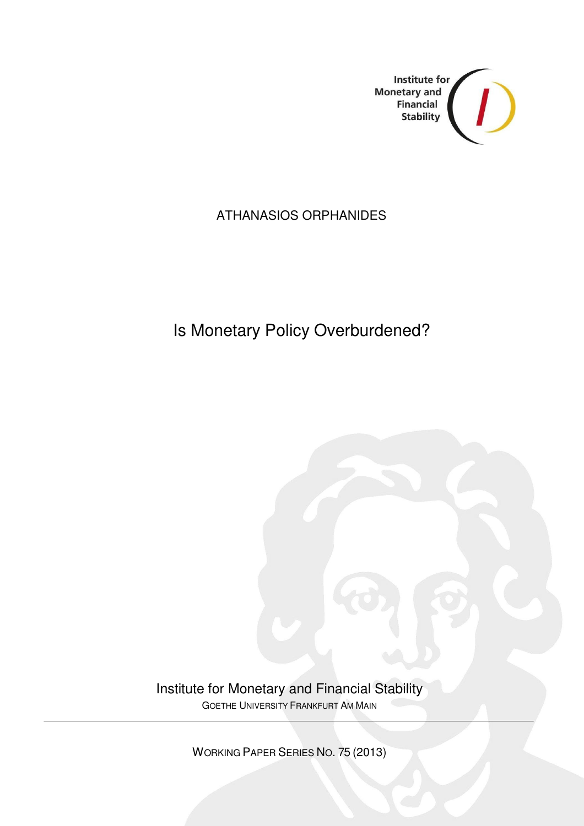

## ATHANASIOS ORPHANIDES

# Is Monetary Policy Overburdened?

Institute for Monetary and Financial Stability GOETHE UNIVERSITY FRANKFURT AM MAIN

WORKING PAPER SERIES NO. 75 (2013)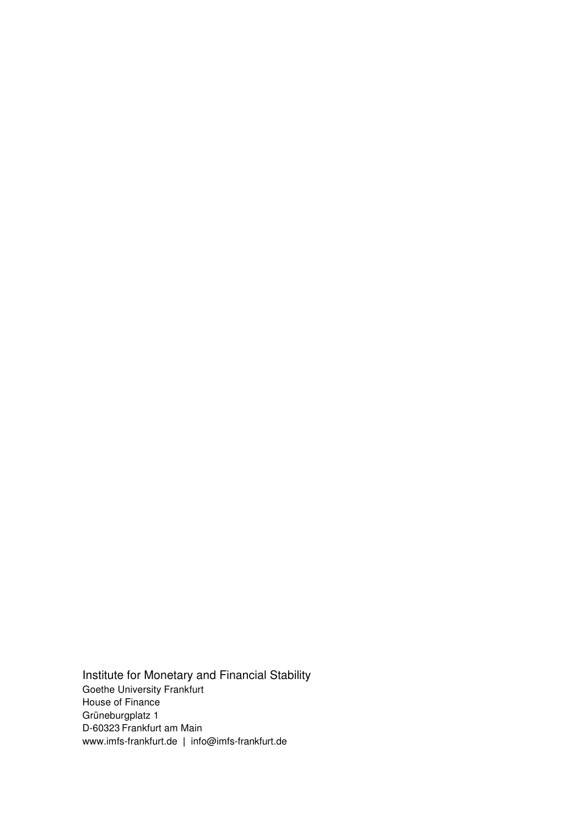Institute for Monetary and Financial Stability Goethe University Frankfurt House of Finance Grüneburgplatz 1 D-60323 Frankfurt am Main www.imfs-frankfurt.de **|** info@imfs-frankfurt.de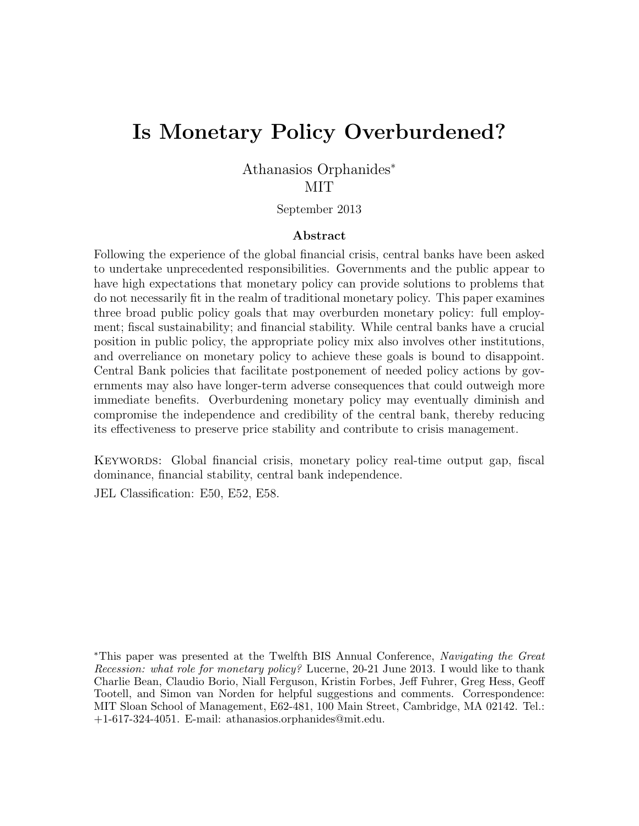# Is Monetary Policy Overburdened?

Athanasios Orphanides<sup>∗</sup> **MIT** 

September 2013

#### Abstract

Following the experience of the global financial crisis, central banks have been asked to undertake unprecedented responsibilities. Governments and the public appear to have high expectations that monetary policy can provide solutions to problems that do not necessarily fit in the realm of traditional monetary policy. This paper examines three broad public policy goals that may overburden monetary policy: full employment; fiscal sustainability; and financial stability. While central banks have a crucial position in public policy, the appropriate policy mix also involves other institutions, and overreliance on monetary policy to achieve these goals is bound to disappoint. Central Bank policies that facilitate postponement of needed policy actions by governments may also have longer-term adverse consequences that could outweigh more immediate benefits. Overburdening monetary policy may eventually diminish and compromise the independence and credibility of the central bank, thereby reducing its effectiveness to preserve price stability and contribute to crisis management.

KEYWORDS: Global financial crisis, monetary policy real-time output gap, fiscal dominance, financial stability, central bank independence.

JEL Classification: E50, E52, E58.

<sup>∗</sup>This paper was presented at the Twelfth BIS Annual Conference, Navigating the Great Recession: what role for monetary policy? Lucerne, 20-21 June 2013. I would like to thank Charlie Bean, Claudio Borio, Niall Ferguson, Kristin Forbes, Jeff Fuhrer, Greg Hess, Geoff Tootell, and Simon van Norden for helpful suggestions and comments. Correspondence: MIT Sloan School of Management, E62-481, 100 Main Street, Cambridge, MA 02142. Tel.: +1-617-324-4051. E-mail: athanasios.orphanides@mit.edu.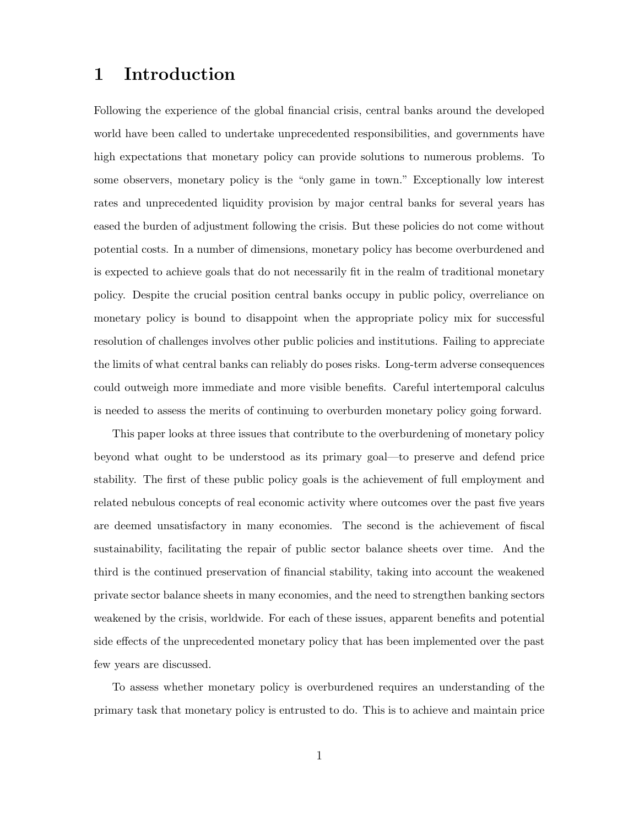### 1 Introduction

Following the experience of the global financial crisis, central banks around the developed world have been called to undertake unprecedented responsibilities, and governments have high expectations that monetary policy can provide solutions to numerous problems. To some observers, monetary policy is the "only game in town." Exceptionally low interest rates and unprecedented liquidity provision by major central banks for several years has eased the burden of adjustment following the crisis. But these policies do not come without potential costs. In a number of dimensions, monetary policy has become overburdened and is expected to achieve goals that do not necessarily fit in the realm of traditional monetary policy. Despite the crucial position central banks occupy in public policy, overreliance on monetary policy is bound to disappoint when the appropriate policy mix for successful resolution of challenges involves other public policies and institutions. Failing to appreciate the limits of what central banks can reliably do poses risks. Long-term adverse consequences could outweigh more immediate and more visible benefits. Careful intertemporal calculus is needed to assess the merits of continuing to overburden monetary policy going forward.

This paper looks at three issues that contribute to the overburdening of monetary policy beyond what ought to be understood as its primary goal—to preserve and defend price stability. The first of these public policy goals is the achievement of full employment and related nebulous concepts of real economic activity where outcomes over the past five years are deemed unsatisfactory in many economies. The second is the achievement of fiscal sustainability, facilitating the repair of public sector balance sheets over time. And the third is the continued preservation of financial stability, taking into account the weakened private sector balance sheets in many economies, and the need to strengthen banking sectors weakened by the crisis, worldwide. For each of these issues, apparent benefits and potential side effects of the unprecedented monetary policy that has been implemented over the past few years are discussed.

To assess whether monetary policy is overburdened requires an understanding of the primary task that monetary policy is entrusted to do. This is to achieve and maintain price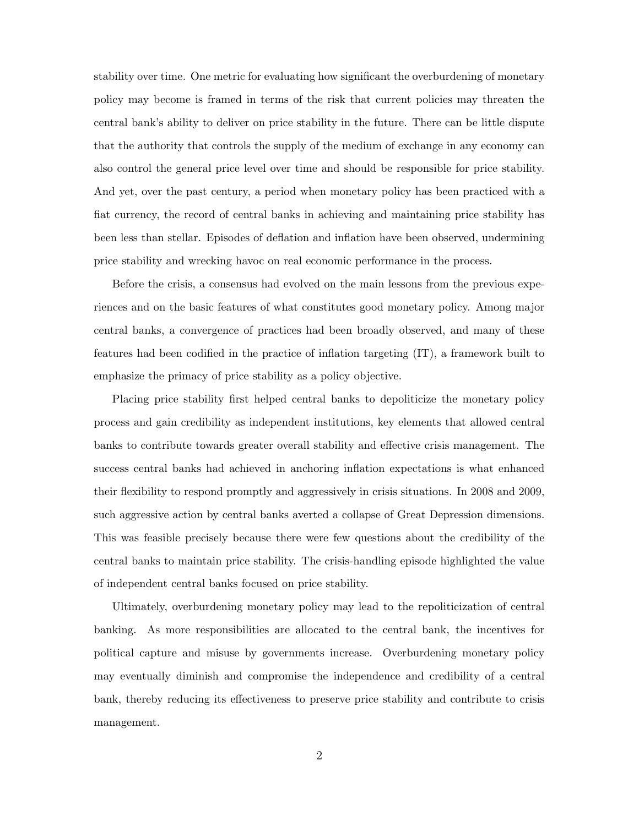stability over time. One metric for evaluating how significant the overburdening of monetary policy may become is framed in terms of the risk that current policies may threaten the central bank's ability to deliver on price stability in the future. There can be little dispute that the authority that controls the supply of the medium of exchange in any economy can also control the general price level over time and should be responsible for price stability. And yet, over the past century, a period when monetary policy has been practiced with a fiat currency, the record of central banks in achieving and maintaining price stability has been less than stellar. Episodes of deflation and inflation have been observed, undermining price stability and wrecking havoc on real economic performance in the process.

Before the crisis, a consensus had evolved on the main lessons from the previous experiences and on the basic features of what constitutes good monetary policy. Among major central banks, a convergence of practices had been broadly observed, and many of these features had been codified in the practice of inflation targeting (IT), a framework built to emphasize the primacy of price stability as a policy objective.

Placing price stability first helped central banks to depoliticize the monetary policy process and gain credibility as independent institutions, key elements that allowed central banks to contribute towards greater overall stability and effective crisis management. The success central banks had achieved in anchoring inflation expectations is what enhanced their flexibility to respond promptly and aggressively in crisis situations. In 2008 and 2009, such aggressive action by central banks averted a collapse of Great Depression dimensions. This was feasible precisely because there were few questions about the credibility of the central banks to maintain price stability. The crisis-handling episode highlighted the value of independent central banks focused on price stability.

Ultimately, overburdening monetary policy may lead to the repoliticization of central banking. As more responsibilities are allocated to the central bank, the incentives for political capture and misuse by governments increase. Overburdening monetary policy may eventually diminish and compromise the independence and credibility of a central bank, thereby reducing its effectiveness to preserve price stability and contribute to crisis management.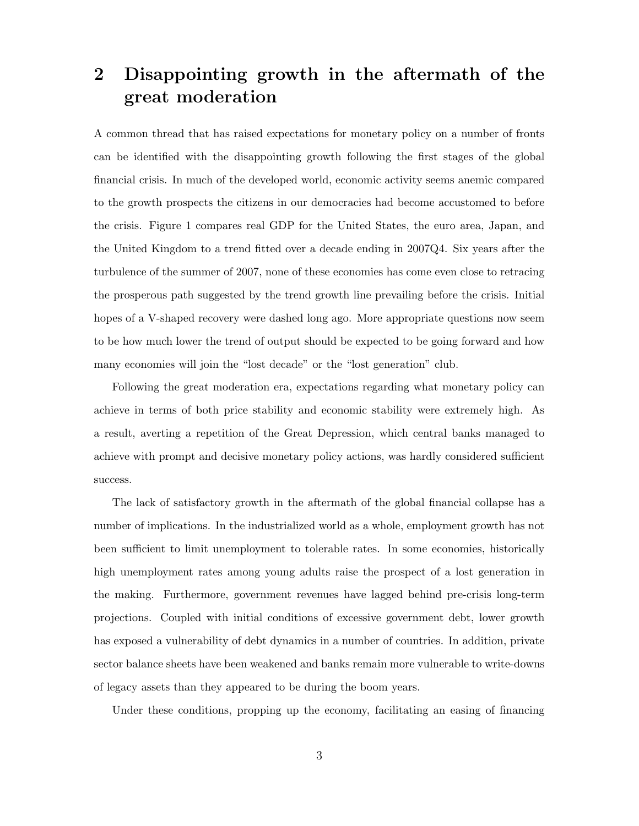## 2 Disappointing growth in the aftermath of the great moderation

A common thread that has raised expectations for monetary policy on a number of fronts can be identified with the disappointing growth following the first stages of the global financial crisis. In much of the developed world, economic activity seems anemic compared to the growth prospects the citizens in our democracies had become accustomed to before the crisis. Figure 1 compares real GDP for the United States, the euro area, Japan, and the United Kingdom to a trend fitted over a decade ending in 2007Q4. Six years after the turbulence of the summer of 2007, none of these economies has come even close to retracing the prosperous path suggested by the trend growth line prevailing before the crisis. Initial hopes of a V-shaped recovery were dashed long ago. More appropriate questions now seem to be how much lower the trend of output should be expected to be going forward and how many economies will join the "lost decade" or the "lost generation" club.

Following the great moderation era, expectations regarding what monetary policy can achieve in terms of both price stability and economic stability were extremely high. As a result, averting a repetition of the Great Depression, which central banks managed to achieve with prompt and decisive monetary policy actions, was hardly considered sufficient success.

The lack of satisfactory growth in the aftermath of the global financial collapse has a number of implications. In the industrialized world as a whole, employment growth has not been sufficient to limit unemployment to tolerable rates. In some economies, historically high unemployment rates among young adults raise the prospect of a lost generation in the making. Furthermore, government revenues have lagged behind pre-crisis long-term projections. Coupled with initial conditions of excessive government debt, lower growth has exposed a vulnerability of debt dynamics in a number of countries. In addition, private sector balance sheets have been weakened and banks remain more vulnerable to write-downs of legacy assets than they appeared to be during the boom years.

Under these conditions, propping up the economy, facilitating an easing of financing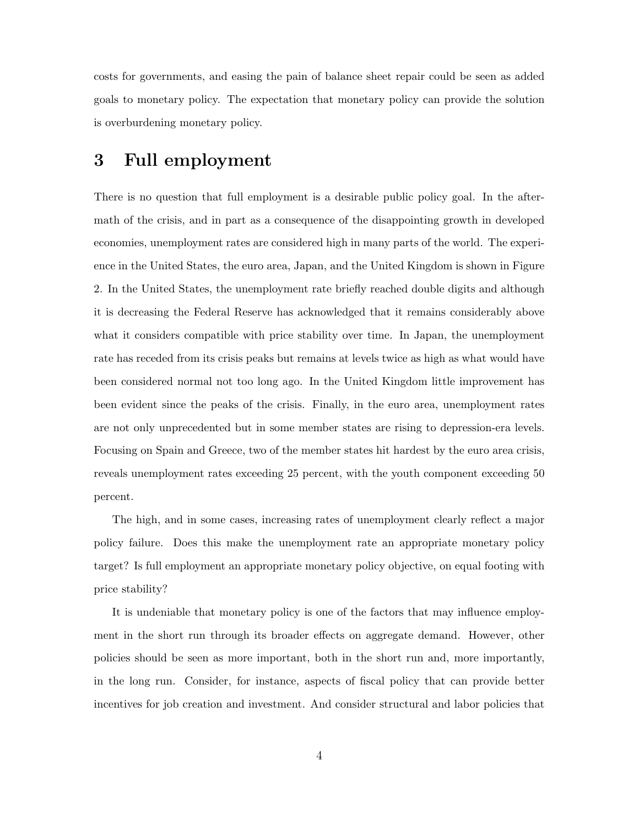costs for governments, and easing the pain of balance sheet repair could be seen as added goals to monetary policy. The expectation that monetary policy can provide the solution is overburdening monetary policy.

#### 3 Full employment

There is no question that full employment is a desirable public policy goal. In the aftermath of the crisis, and in part as a consequence of the disappointing growth in developed economies, unemployment rates are considered high in many parts of the world. The experience in the United States, the euro area, Japan, and the United Kingdom is shown in Figure 2. In the United States, the unemployment rate briefly reached double digits and although it is decreasing the Federal Reserve has acknowledged that it remains considerably above what it considers compatible with price stability over time. In Japan, the unemployment rate has receded from its crisis peaks but remains at levels twice as high as what would have been considered normal not too long ago. In the United Kingdom little improvement has been evident since the peaks of the crisis. Finally, in the euro area, unemployment rates are not only unprecedented but in some member states are rising to depression-era levels. Focusing on Spain and Greece, two of the member states hit hardest by the euro area crisis, reveals unemployment rates exceeding 25 percent, with the youth component exceeding 50 percent.

The high, and in some cases, increasing rates of unemployment clearly reflect a major policy failure. Does this make the unemployment rate an appropriate monetary policy target? Is full employment an appropriate monetary policy objective, on equal footing with price stability?

It is undeniable that monetary policy is one of the factors that may influence employment in the short run through its broader effects on aggregate demand. However, other policies should be seen as more important, both in the short run and, more importantly, in the long run. Consider, for instance, aspects of fiscal policy that can provide better incentives for job creation and investment. And consider structural and labor policies that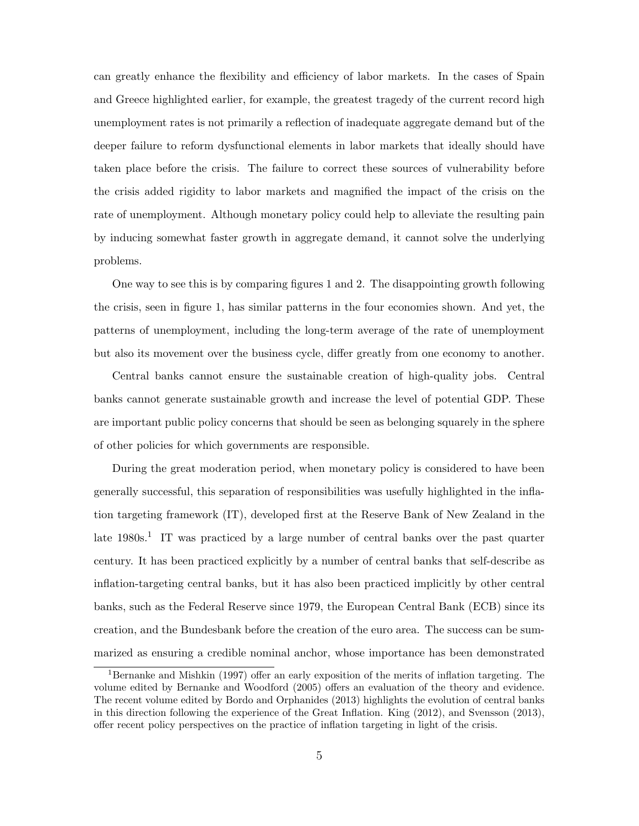can greatly enhance the flexibility and efficiency of labor markets. In the cases of Spain and Greece highlighted earlier, for example, the greatest tragedy of the current record high unemployment rates is not primarily a reflection of inadequate aggregate demand but of the deeper failure to reform dysfunctional elements in labor markets that ideally should have taken place before the crisis. The failure to correct these sources of vulnerability before the crisis added rigidity to labor markets and magnified the impact of the crisis on the rate of unemployment. Although monetary policy could help to alleviate the resulting pain by inducing somewhat faster growth in aggregate demand, it cannot solve the underlying problems.

One way to see this is by comparing figures 1 and 2. The disappointing growth following the crisis, seen in figure 1, has similar patterns in the four economies shown. And yet, the patterns of unemployment, including the long-term average of the rate of unemployment but also its movement over the business cycle, differ greatly from one economy to another.

Central banks cannot ensure the sustainable creation of high-quality jobs. Central banks cannot generate sustainable growth and increase the level of potential GDP. These are important public policy concerns that should be seen as belonging squarely in the sphere of other policies for which governments are responsible.

During the great moderation period, when monetary policy is considered to have been generally successful, this separation of responsibilities was usefully highlighted in the inflation targeting framework (IT), developed first at the Reserve Bank of New Zealand in the late 1980s.<sup>1</sup> IT was practiced by a large number of central banks over the past quarter century. It has been practiced explicitly by a number of central banks that self-describe as inflation-targeting central banks, but it has also been practiced implicitly by other central banks, such as the Federal Reserve since 1979, the European Central Bank (ECB) since its creation, and the Bundesbank before the creation of the euro area. The success can be summarized as ensuring a credible nominal anchor, whose importance has been demonstrated

<sup>1</sup>Bernanke and Mishkin (1997) offer an early exposition of the merits of inflation targeting. The volume edited by Bernanke and Woodford (2005) offers an evaluation of the theory and evidence. The recent volume edited by Bordo and Orphanides (2013) highlights the evolution of central banks in this direction following the experience of the Great Inflation. King (2012), and Svensson (2013), offer recent policy perspectives on the practice of inflation targeting in light of the crisis.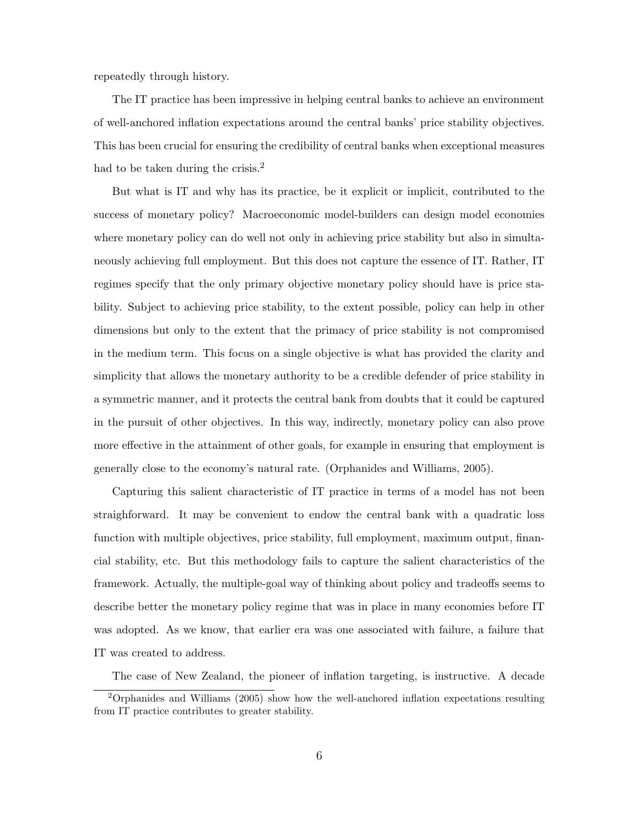repeatedly through history.

The IT practice has been impressive in helping central banks to achieve an environment of well-anchored inflation expectations around the central banks' price stability objectives. This has been crucial for ensuring the credibility of central banks when exceptional measures had to be taken during the crisis.<sup>2</sup>

But what is IT and why has its practice, be it explicit or implicit, contributed to the success of monetary policy? Macroeconomic model-builders can design model economies where monetary policy can do well not only in achieving price stability but also in simultaneously achieving full employment. But this does not capture the essence of IT. Rather, IT regimes specify that the only primary objective monetary policy should have is price stability. Subject to achieving price stability, to the extent possible, policy can help in other dimensions but only to the extent that the primacy of price stability is not compromised in the medium term. This focus on a single objective is what has provided the clarity and simplicity that allows the monetary authority to be a credible defender of price stability in a symmetric manner, and it protects the central bank from doubts that it could be captured in the pursuit of other objectives. In this way, indirectly, monetary policy can also prove more effective in the attainment of other goals, for example in ensuring that employment is generally close to the economy's natural rate. (Orphanides and Williams, 2005).

Capturing this salient characteristic of IT practice in terms of a model has not been straighforward. It may be convenient to endow the central bank with a quadratic loss function with multiple objectives, price stability, full employment, maximum output, financial stability, etc. But this methodology fails to capture the salient characteristics of the framework. Actually, the multiple-goal way of thinking about policy and tradeoffs seems to describe better the monetary policy regime that was in place in many economies before IT was adopted. As we know, that earlier era was one associated with failure, a failure that IT was created to address.

The case of New Zealand, the pioneer of inflation targeting, is instructive. A decade

<sup>2</sup>Orphanides and Williams (2005) show how the well-anchored inflation expectations resulting from IT practice contributes to greater stability.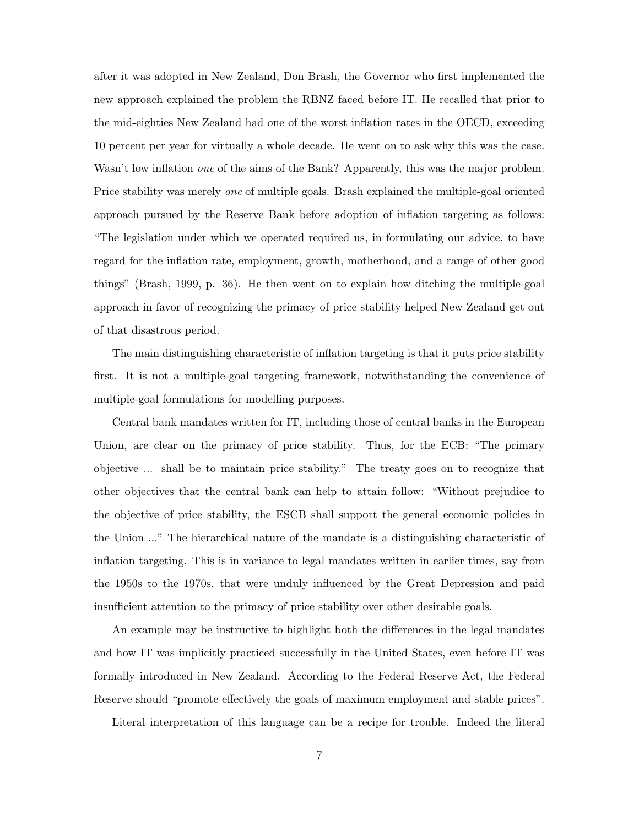after it was adopted in New Zealand, Don Brash, the Governor who first implemented the new approach explained the problem the RBNZ faced before IT. He recalled that prior to the mid-eighties New Zealand had one of the worst inflation rates in the OECD, exceeding 10 percent per year for virtually a whole decade. He went on to ask why this was the case. Wasn't low inflation *one* of the aims of the Bank? Apparently, this was the major problem. Price stability was merely one of multiple goals. Brash explained the multiple-goal oriented approach pursued by the Reserve Bank before adoption of inflation targeting as follows: "The legislation under which we operated required us, in formulating our advice, to have regard for the inflation rate, employment, growth, motherhood, and a range of other good things" (Brash, 1999, p. 36). He then went on to explain how ditching the multiple-goal approach in favor of recognizing the primacy of price stability helped New Zealand get out of that disastrous period.

The main distinguishing characteristic of inflation targeting is that it puts price stability first. It is not a multiple-goal targeting framework, notwithstanding the convenience of multiple-goal formulations for modelling purposes.

Central bank mandates written for IT, including those of central banks in the European Union, are clear on the primacy of price stability. Thus, for the ECB: "The primary objective ... shall be to maintain price stability." The treaty goes on to recognize that other objectives that the central bank can help to attain follow: "Without prejudice to the objective of price stability, the ESCB shall support the general economic policies in the Union ..." The hierarchical nature of the mandate is a distinguishing characteristic of inflation targeting. This is in variance to legal mandates written in earlier times, say from the 1950s to the 1970s, that were unduly influenced by the Great Depression and paid insufficient attention to the primacy of price stability over other desirable goals.

An example may be instructive to highlight both the differences in the legal mandates and how IT was implicitly practiced successfully in the United States, even before IT was formally introduced in New Zealand. According to the Federal Reserve Act, the Federal Reserve should "promote effectively the goals of maximum employment and stable prices".

Literal interpretation of this language can be a recipe for trouble. Indeed the literal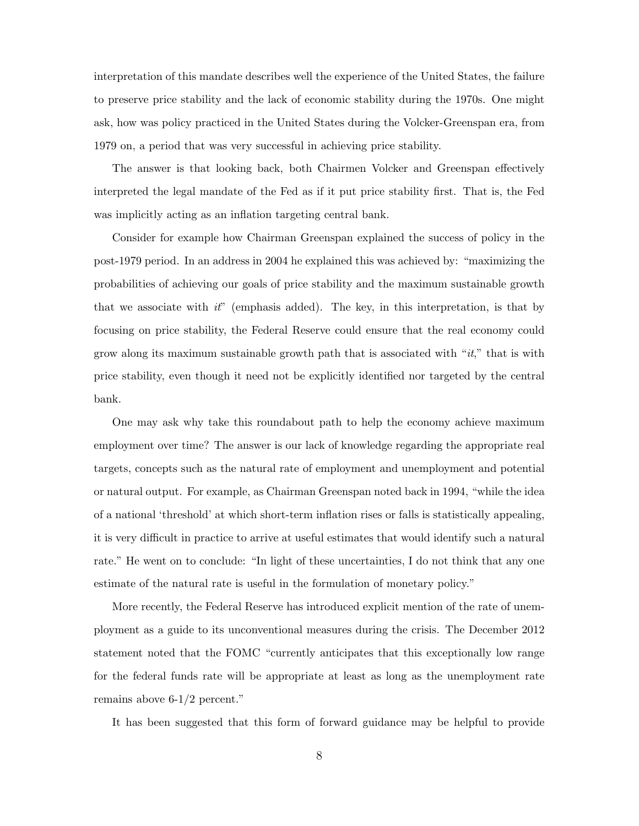interpretation of this mandate describes well the experience of the United States, the failure to preserve price stability and the lack of economic stability during the 1970s. One might ask, how was policy practiced in the United States during the Volcker-Greenspan era, from 1979 on, a period that was very successful in achieving price stability.

The answer is that looking back, both Chairmen Volcker and Greenspan effectively interpreted the legal mandate of the Fed as if it put price stability first. That is, the Fed was implicitly acting as an inflation targeting central bank.

Consider for example how Chairman Greenspan explained the success of policy in the post-1979 period. In an address in 2004 he explained this was achieved by: "maximizing the probabilities of achieving our goals of price stability and the maximum sustainable growth that we associate with  $it'$  (emphasis added). The key, in this interpretation, is that by focusing on price stability, the Federal Reserve could ensure that the real economy could grow along its maximum sustainable growth path that is associated with " $it$ ," that is with price stability, even though it need not be explicitly identified nor targeted by the central bank.

One may ask why take this roundabout path to help the economy achieve maximum employment over time? The answer is our lack of knowledge regarding the appropriate real targets, concepts such as the natural rate of employment and unemployment and potential or natural output. For example, as Chairman Greenspan noted back in 1994, "while the idea of a national 'threshold' at which short-term inflation rises or falls is statistically appealing, it is very difficult in practice to arrive at useful estimates that would identify such a natural rate." He went on to conclude: "In light of these uncertainties, I do not think that any one estimate of the natural rate is useful in the formulation of monetary policy."

More recently, the Federal Reserve has introduced explicit mention of the rate of unemployment as a guide to its unconventional measures during the crisis. The December 2012 statement noted that the FOMC "currently anticipates that this exceptionally low range for the federal funds rate will be appropriate at least as long as the unemployment rate remains above 6-1/2 percent."

It has been suggested that this form of forward guidance may be helpful to provide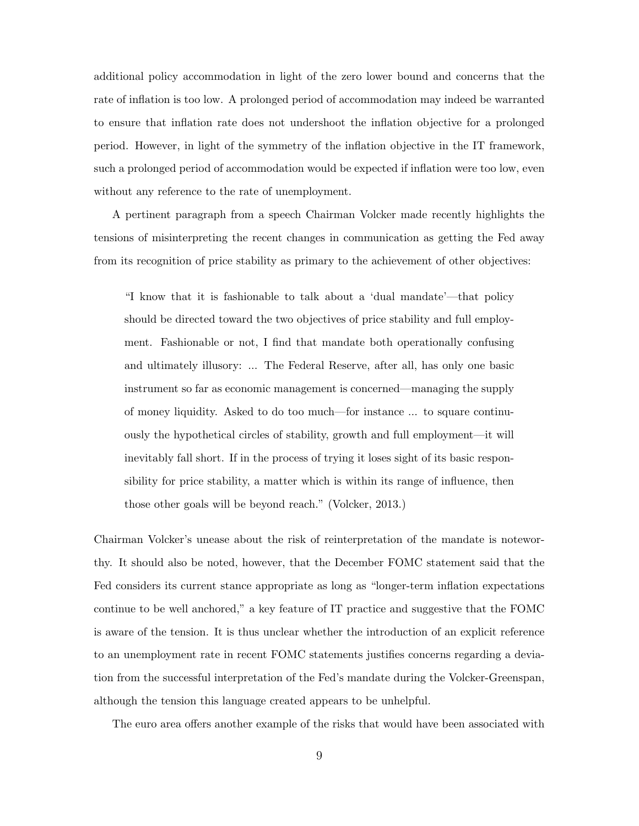additional policy accommodation in light of the zero lower bound and concerns that the rate of inflation is too low. A prolonged period of accommodation may indeed be warranted to ensure that inflation rate does not undershoot the inflation objective for a prolonged period. However, in light of the symmetry of the inflation objective in the IT framework, such a prolonged period of accommodation would be expected if inflation were too low, even without any reference to the rate of unemployment.

A pertinent paragraph from a speech Chairman Volcker made recently highlights the tensions of misinterpreting the recent changes in communication as getting the Fed away from its recognition of price stability as primary to the achievement of other objectives:

"I know that it is fashionable to talk about a 'dual mandate'—that policy should be directed toward the two objectives of price stability and full employment. Fashionable or not, I find that mandate both operationally confusing and ultimately illusory: ... The Federal Reserve, after all, has only one basic instrument so far as economic management is concerned—managing the supply of money liquidity. Asked to do too much—for instance ... to square continuously the hypothetical circles of stability, growth and full employment—it will inevitably fall short. If in the process of trying it loses sight of its basic responsibility for price stability, a matter which is within its range of influence, then those other goals will be beyond reach." (Volcker, 2013.)

Chairman Volcker's unease about the risk of reinterpretation of the mandate is noteworthy. It should also be noted, however, that the December FOMC statement said that the Fed considers its current stance appropriate as long as "longer-term inflation expectations continue to be well anchored," a key feature of IT practice and suggestive that the FOMC is aware of the tension. It is thus unclear whether the introduction of an explicit reference to an unemployment rate in recent FOMC statements justifies concerns regarding a deviation from the successful interpretation of the Fed's mandate during the Volcker-Greenspan, although the tension this language created appears to be unhelpful.

The euro area offers another example of the risks that would have been associated with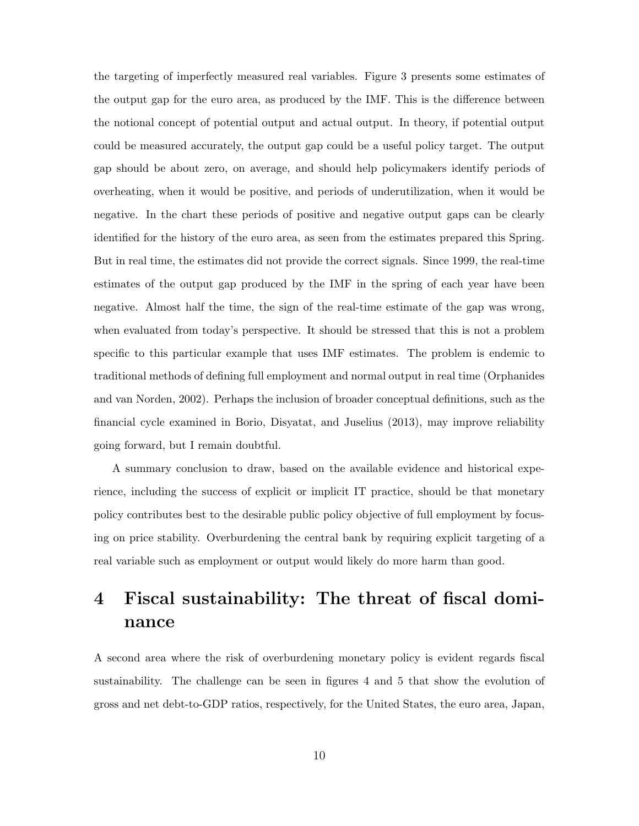the targeting of imperfectly measured real variables. Figure 3 presents some estimates of the output gap for the euro area, as produced by the IMF. This is the difference between the notional concept of potential output and actual output. In theory, if potential output could be measured accurately, the output gap could be a useful policy target. The output gap should be about zero, on average, and should help policymakers identify periods of overheating, when it would be positive, and periods of underutilization, when it would be negative. In the chart these periods of positive and negative output gaps can be clearly identified for the history of the euro area, as seen from the estimates prepared this Spring. But in real time, the estimates did not provide the correct signals. Since 1999, the real-time estimates of the output gap produced by the IMF in the spring of each year have been negative. Almost half the time, the sign of the real-time estimate of the gap was wrong, when evaluated from today's perspective. It should be stressed that this is not a problem specific to this particular example that uses IMF estimates. The problem is endemic to traditional methods of defining full employment and normal output in real time (Orphanides and van Norden, 2002). Perhaps the inclusion of broader conceptual definitions, such as the financial cycle examined in Borio, Disyatat, and Juselius (2013), may improve reliability going forward, but I remain doubtful.

A summary conclusion to draw, based on the available evidence and historical experience, including the success of explicit or implicit IT practice, should be that monetary policy contributes best to the desirable public policy objective of full employment by focusing on price stability. Overburdening the central bank by requiring explicit targeting of a real variable such as employment or output would likely do more harm than good.

## 4 Fiscal sustainability: The threat of fiscal dominance

A second area where the risk of overburdening monetary policy is evident regards fiscal sustainability. The challenge can be seen in figures 4 and 5 that show the evolution of gross and net debt-to-GDP ratios, respectively, for the United States, the euro area, Japan,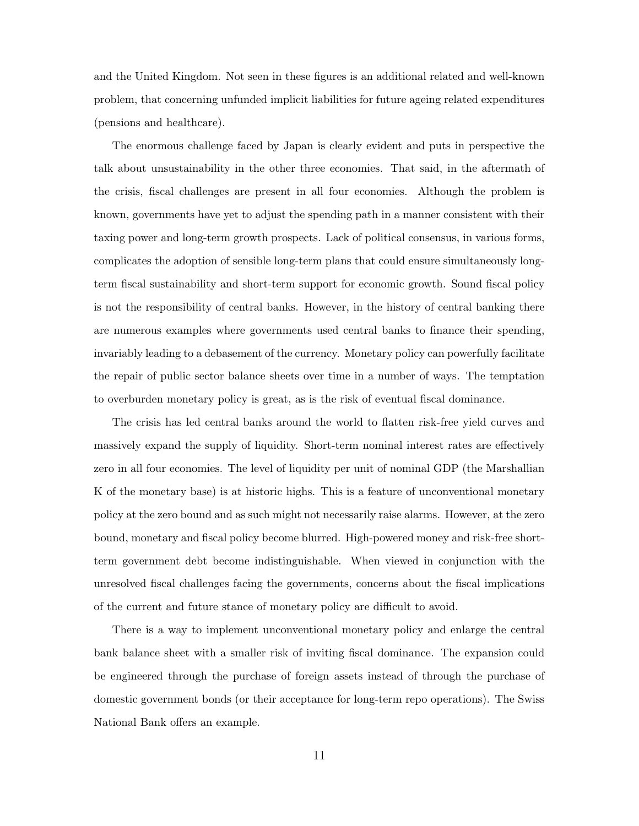and the United Kingdom. Not seen in these figures is an additional related and well-known problem, that concerning unfunded implicit liabilities for future ageing related expenditures (pensions and healthcare).

The enormous challenge faced by Japan is clearly evident and puts in perspective the talk about unsustainability in the other three economies. That said, in the aftermath of the crisis, fiscal challenges are present in all four economies. Although the problem is known, governments have yet to adjust the spending path in a manner consistent with their taxing power and long-term growth prospects. Lack of political consensus, in various forms, complicates the adoption of sensible long-term plans that could ensure simultaneously longterm fiscal sustainability and short-term support for economic growth. Sound fiscal policy is not the responsibility of central banks. However, in the history of central banking there are numerous examples where governments used central banks to finance their spending, invariably leading to a debasement of the currency. Monetary policy can powerfully facilitate the repair of public sector balance sheets over time in a number of ways. The temptation to overburden monetary policy is great, as is the risk of eventual fiscal dominance.

The crisis has led central banks around the world to flatten risk-free yield curves and massively expand the supply of liquidity. Short-term nominal interest rates are effectively zero in all four economies. The level of liquidity per unit of nominal GDP (the Marshallian K of the monetary base) is at historic highs. This is a feature of unconventional monetary policy at the zero bound and as such might not necessarily raise alarms. However, at the zero bound, monetary and fiscal policy become blurred. High-powered money and risk-free shortterm government debt become indistinguishable. When viewed in conjunction with the unresolved fiscal challenges facing the governments, concerns about the fiscal implications of the current and future stance of monetary policy are difficult to avoid.

There is a way to implement unconventional monetary policy and enlarge the central bank balance sheet with a smaller risk of inviting fiscal dominance. The expansion could be engineered through the purchase of foreign assets instead of through the purchase of domestic government bonds (or their acceptance for long-term repo operations). The Swiss National Bank offers an example.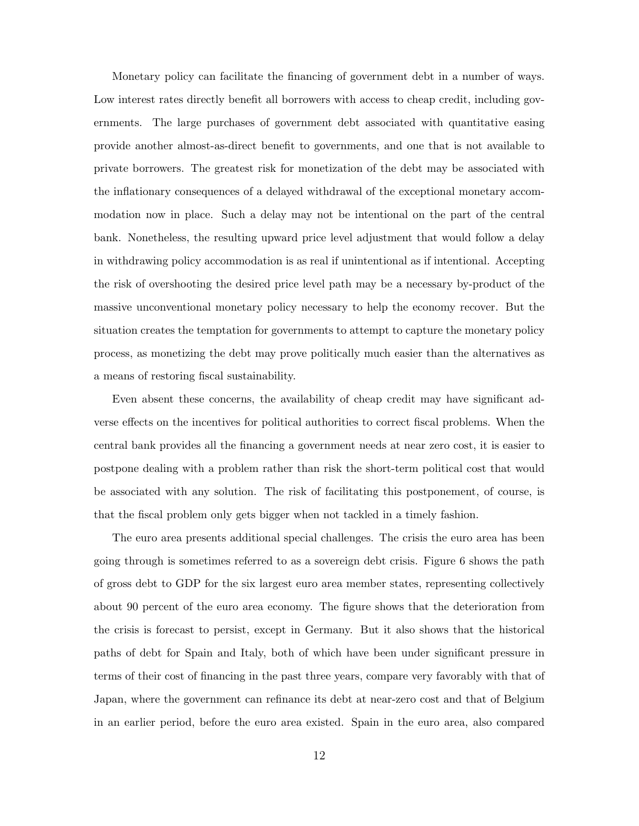Monetary policy can facilitate the financing of government debt in a number of ways. Low interest rates directly benefit all borrowers with access to cheap credit, including governments. The large purchases of government debt associated with quantitative easing provide another almost-as-direct benefit to governments, and one that is not available to private borrowers. The greatest risk for monetization of the debt may be associated with the inflationary consequences of a delayed withdrawal of the exceptional monetary accommodation now in place. Such a delay may not be intentional on the part of the central bank. Nonetheless, the resulting upward price level adjustment that would follow a delay in withdrawing policy accommodation is as real if unintentional as if intentional. Accepting the risk of overshooting the desired price level path may be a necessary by-product of the massive unconventional monetary policy necessary to help the economy recover. But the situation creates the temptation for governments to attempt to capture the monetary policy process, as monetizing the debt may prove politically much easier than the alternatives as a means of restoring fiscal sustainability.

Even absent these concerns, the availability of cheap credit may have significant adverse effects on the incentives for political authorities to correct fiscal problems. When the central bank provides all the financing a government needs at near zero cost, it is easier to postpone dealing with a problem rather than risk the short-term political cost that would be associated with any solution. The risk of facilitating this postponement, of course, is that the fiscal problem only gets bigger when not tackled in a timely fashion.

The euro area presents additional special challenges. The crisis the euro area has been going through is sometimes referred to as a sovereign debt crisis. Figure 6 shows the path of gross debt to GDP for the six largest euro area member states, representing collectively about 90 percent of the euro area economy. The figure shows that the deterioration from the crisis is forecast to persist, except in Germany. But it also shows that the historical paths of debt for Spain and Italy, both of which have been under significant pressure in terms of their cost of financing in the past three years, compare very favorably with that of Japan, where the government can refinance its debt at near-zero cost and that of Belgium in an earlier period, before the euro area existed. Spain in the euro area, also compared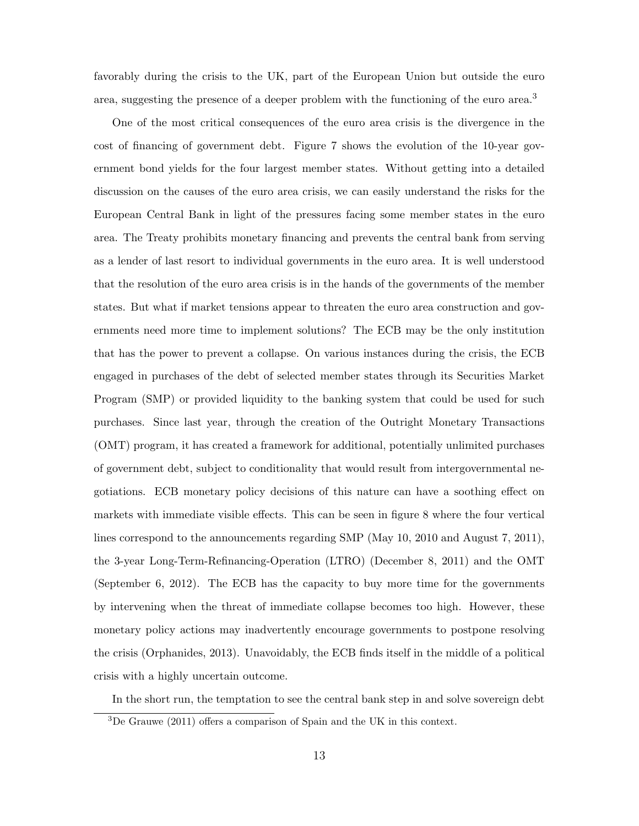favorably during the crisis to the UK, part of the European Union but outside the euro area, suggesting the presence of a deeper problem with the functioning of the euro area.<sup>3</sup>

One of the most critical consequences of the euro area crisis is the divergence in the cost of financing of government debt. Figure 7 shows the evolution of the 10-year government bond yields for the four largest member states. Without getting into a detailed discussion on the causes of the euro area crisis, we can easily understand the risks for the European Central Bank in light of the pressures facing some member states in the euro area. The Treaty prohibits monetary financing and prevents the central bank from serving as a lender of last resort to individual governments in the euro area. It is well understood that the resolution of the euro area crisis is in the hands of the governments of the member states. But what if market tensions appear to threaten the euro area construction and governments need more time to implement solutions? The ECB may be the only institution that has the power to prevent a collapse. On various instances during the crisis, the ECB engaged in purchases of the debt of selected member states through its Securities Market Program (SMP) or provided liquidity to the banking system that could be used for such purchases. Since last year, through the creation of the Outright Monetary Transactions (OMT) program, it has created a framework for additional, potentially unlimited purchases of government debt, subject to conditionality that would result from intergovernmental negotiations. ECB monetary policy decisions of this nature can have a soothing effect on markets with immediate visible effects. This can be seen in figure 8 where the four vertical lines correspond to the announcements regarding SMP (May 10, 2010 and August 7, 2011), the 3-year Long-Term-Refinancing-Operation (LTRO) (December 8, 2011) and the OMT (September 6, 2012). The ECB has the capacity to buy more time for the governments by intervening when the threat of immediate collapse becomes too high. However, these monetary policy actions may inadvertently encourage governments to postpone resolving the crisis (Orphanides, 2013). Unavoidably, the ECB finds itself in the middle of a political crisis with a highly uncertain outcome.

In the short run, the temptation to see the central bank step in and solve sovereign debt

 $3$ De Grauwe (2011) offers a comparison of Spain and the UK in this context.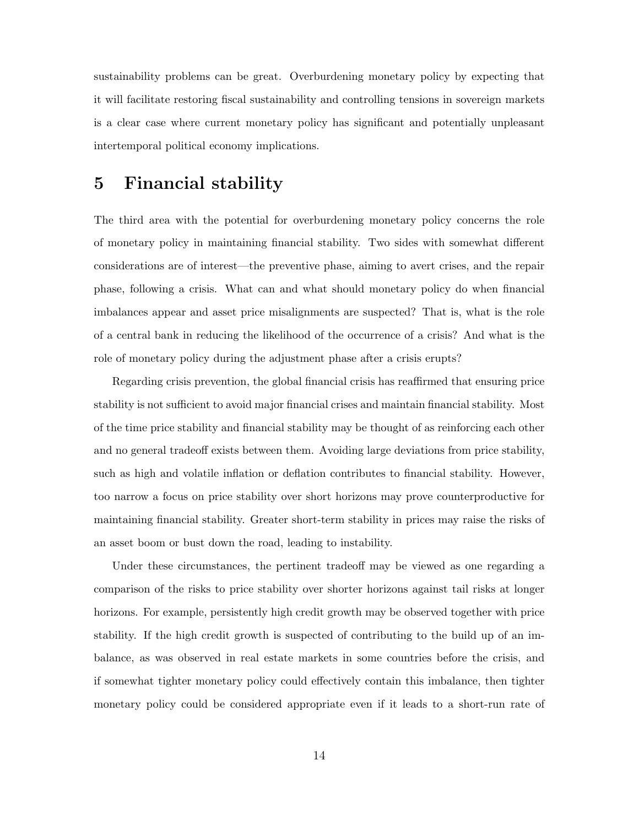sustainability problems can be great. Overburdening monetary policy by expecting that it will facilitate restoring fiscal sustainability and controlling tensions in sovereign markets is a clear case where current monetary policy has significant and potentially unpleasant intertemporal political economy implications.

#### 5 Financial stability

The third area with the potential for overburdening monetary policy concerns the role of monetary policy in maintaining financial stability. Two sides with somewhat different considerations are of interest—the preventive phase, aiming to avert crises, and the repair phase, following a crisis. What can and what should monetary policy do when financial imbalances appear and asset price misalignments are suspected? That is, what is the role of a central bank in reducing the likelihood of the occurrence of a crisis? And what is the role of monetary policy during the adjustment phase after a crisis erupts?

Regarding crisis prevention, the global financial crisis has reaffirmed that ensuring price stability is not sufficient to avoid major financial crises and maintain financial stability. Most of the time price stability and financial stability may be thought of as reinforcing each other and no general tradeoff exists between them. Avoiding large deviations from price stability, such as high and volatile inflation or deflation contributes to financial stability. However, too narrow a focus on price stability over short horizons may prove counterproductive for maintaining financial stability. Greater short-term stability in prices may raise the risks of an asset boom or bust down the road, leading to instability.

Under these circumstances, the pertinent tradeoff may be viewed as one regarding a comparison of the risks to price stability over shorter horizons against tail risks at longer horizons. For example, persistently high credit growth may be observed together with price stability. If the high credit growth is suspected of contributing to the build up of an imbalance, as was observed in real estate markets in some countries before the crisis, and if somewhat tighter monetary policy could effectively contain this imbalance, then tighter monetary policy could be considered appropriate even if it leads to a short-run rate of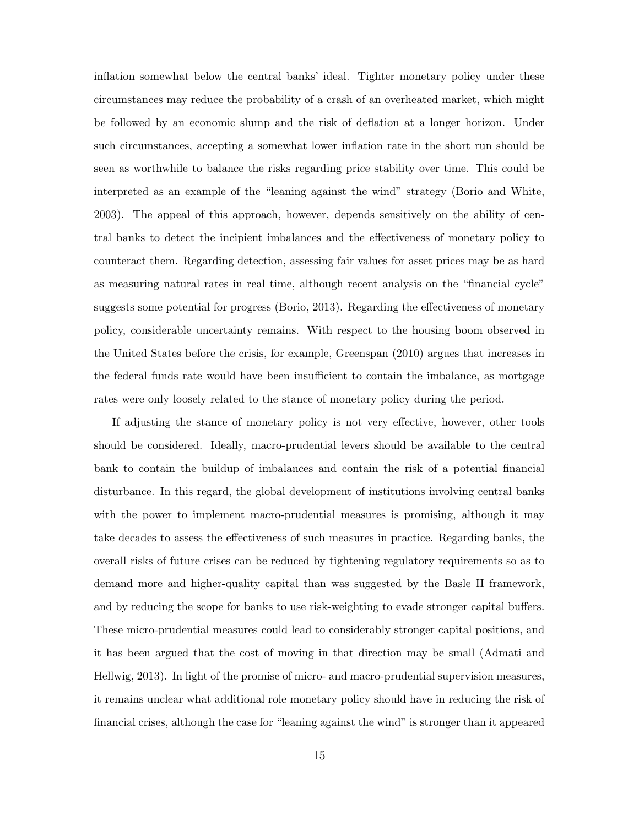inflation somewhat below the central banks' ideal. Tighter monetary policy under these circumstances may reduce the probability of a crash of an overheated market, which might be followed by an economic slump and the risk of deflation at a longer horizon. Under such circumstances, accepting a somewhat lower inflation rate in the short run should be seen as worthwhile to balance the risks regarding price stability over time. This could be interpreted as an example of the "leaning against the wind" strategy (Borio and White, 2003). The appeal of this approach, however, depends sensitively on the ability of central banks to detect the incipient imbalances and the effectiveness of monetary policy to counteract them. Regarding detection, assessing fair values for asset prices may be as hard as measuring natural rates in real time, although recent analysis on the "financial cycle" suggests some potential for progress (Borio, 2013). Regarding the effectiveness of monetary policy, considerable uncertainty remains. With respect to the housing boom observed in the United States before the crisis, for example, Greenspan (2010) argues that increases in the federal funds rate would have been insufficient to contain the imbalance, as mortgage rates were only loosely related to the stance of monetary policy during the period.

If adjusting the stance of monetary policy is not very effective, however, other tools should be considered. Ideally, macro-prudential levers should be available to the central bank to contain the buildup of imbalances and contain the risk of a potential financial disturbance. In this regard, the global development of institutions involving central banks with the power to implement macro-prudential measures is promising, although it may take decades to assess the effectiveness of such measures in practice. Regarding banks, the overall risks of future crises can be reduced by tightening regulatory requirements so as to demand more and higher-quality capital than was suggested by the Basle II framework, and by reducing the scope for banks to use risk-weighting to evade stronger capital buffers. These micro-prudential measures could lead to considerably stronger capital positions, and it has been argued that the cost of moving in that direction may be small (Admati and Hellwig, 2013). In light of the promise of micro- and macro-prudential supervision measures, it remains unclear what additional role monetary policy should have in reducing the risk of financial crises, although the case for "leaning against the wind" is stronger than it appeared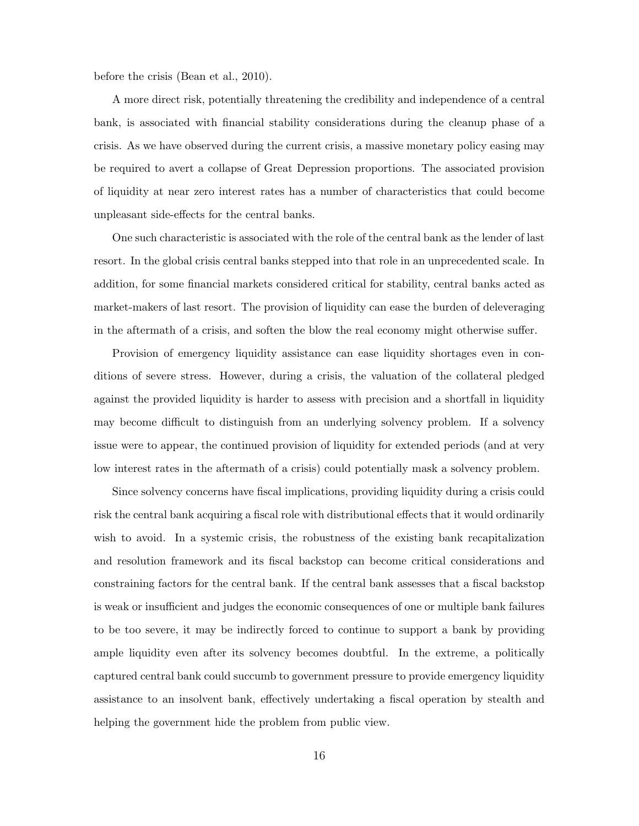before the crisis (Bean et al., 2010).

A more direct risk, potentially threatening the credibility and independence of a central bank, is associated with financial stability considerations during the cleanup phase of a crisis. As we have observed during the current crisis, a massive monetary policy easing may be required to avert a collapse of Great Depression proportions. The associated provision of liquidity at near zero interest rates has a number of characteristics that could become unpleasant side-effects for the central banks.

One such characteristic is associated with the role of the central bank as the lender of last resort. In the global crisis central banks stepped into that role in an unprecedented scale. In addition, for some financial markets considered critical for stability, central banks acted as market-makers of last resort. The provision of liquidity can ease the burden of deleveraging in the aftermath of a crisis, and soften the blow the real economy might otherwise suffer.

Provision of emergency liquidity assistance can ease liquidity shortages even in conditions of severe stress. However, during a crisis, the valuation of the collateral pledged against the provided liquidity is harder to assess with precision and a shortfall in liquidity may become difficult to distinguish from an underlying solvency problem. If a solvency issue were to appear, the continued provision of liquidity for extended periods (and at very low interest rates in the aftermath of a crisis) could potentially mask a solvency problem.

Since solvency concerns have fiscal implications, providing liquidity during a crisis could risk the central bank acquiring a fiscal role with distributional effects that it would ordinarily wish to avoid. In a systemic crisis, the robustness of the existing bank recapitalization and resolution framework and its fiscal backstop can become critical considerations and constraining factors for the central bank. If the central bank assesses that a fiscal backstop is weak or insufficient and judges the economic consequences of one or multiple bank failures to be too severe, it may be indirectly forced to continue to support a bank by providing ample liquidity even after its solvency becomes doubtful. In the extreme, a politically captured central bank could succumb to government pressure to provide emergency liquidity assistance to an insolvent bank, effectively undertaking a fiscal operation by stealth and helping the government hide the problem from public view.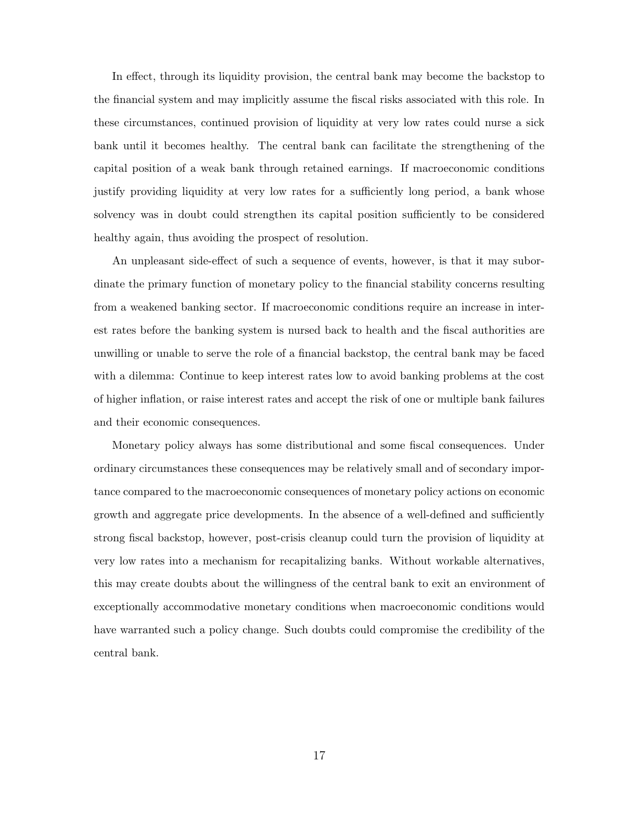In effect, through its liquidity provision, the central bank may become the backstop to the financial system and may implicitly assume the fiscal risks associated with this role. In these circumstances, continued provision of liquidity at very low rates could nurse a sick bank until it becomes healthy. The central bank can facilitate the strengthening of the capital position of a weak bank through retained earnings. If macroeconomic conditions justify providing liquidity at very low rates for a sufficiently long period, a bank whose solvency was in doubt could strengthen its capital position sufficiently to be considered healthy again, thus avoiding the prospect of resolution.

An unpleasant side-effect of such a sequence of events, however, is that it may subordinate the primary function of monetary policy to the financial stability concerns resulting from a weakened banking sector. If macroeconomic conditions require an increase in interest rates before the banking system is nursed back to health and the fiscal authorities are unwilling or unable to serve the role of a financial backstop, the central bank may be faced with a dilemma: Continue to keep interest rates low to avoid banking problems at the cost of higher inflation, or raise interest rates and accept the risk of one or multiple bank failures and their economic consequences.

Monetary policy always has some distributional and some fiscal consequences. Under ordinary circumstances these consequences may be relatively small and of secondary importance compared to the macroeconomic consequences of monetary policy actions on economic growth and aggregate price developments. In the absence of a well-defined and sufficiently strong fiscal backstop, however, post-crisis cleanup could turn the provision of liquidity at very low rates into a mechanism for recapitalizing banks. Without workable alternatives, this may create doubts about the willingness of the central bank to exit an environment of exceptionally accommodative monetary conditions when macroeconomic conditions would have warranted such a policy change. Such doubts could compromise the credibility of the central bank.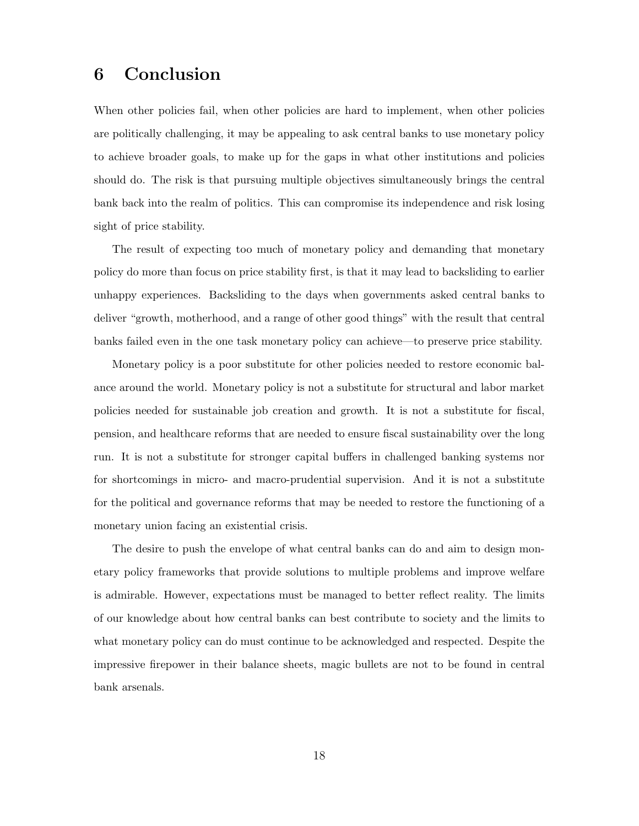### 6 Conclusion

When other policies fail, when other policies are hard to implement, when other policies are politically challenging, it may be appealing to ask central banks to use monetary policy to achieve broader goals, to make up for the gaps in what other institutions and policies should do. The risk is that pursuing multiple objectives simultaneously brings the central bank back into the realm of politics. This can compromise its independence and risk losing sight of price stability.

The result of expecting too much of monetary policy and demanding that monetary policy do more than focus on price stability first, is that it may lead to backsliding to earlier unhappy experiences. Backsliding to the days when governments asked central banks to deliver "growth, motherhood, and a range of other good things" with the result that central banks failed even in the one task monetary policy can achieve—to preserve price stability.

Monetary policy is a poor substitute for other policies needed to restore economic balance around the world. Monetary policy is not a substitute for structural and labor market policies needed for sustainable job creation and growth. It is not a substitute for fiscal, pension, and healthcare reforms that are needed to ensure fiscal sustainability over the long run. It is not a substitute for stronger capital buffers in challenged banking systems nor for shortcomings in micro- and macro-prudential supervision. And it is not a substitute for the political and governance reforms that may be needed to restore the functioning of a monetary union facing an existential crisis.

The desire to push the envelope of what central banks can do and aim to design monetary policy frameworks that provide solutions to multiple problems and improve welfare is admirable. However, expectations must be managed to better reflect reality. The limits of our knowledge about how central banks can best contribute to society and the limits to what monetary policy can do must continue to be acknowledged and respected. Despite the impressive firepower in their balance sheets, magic bullets are not to be found in central bank arsenals.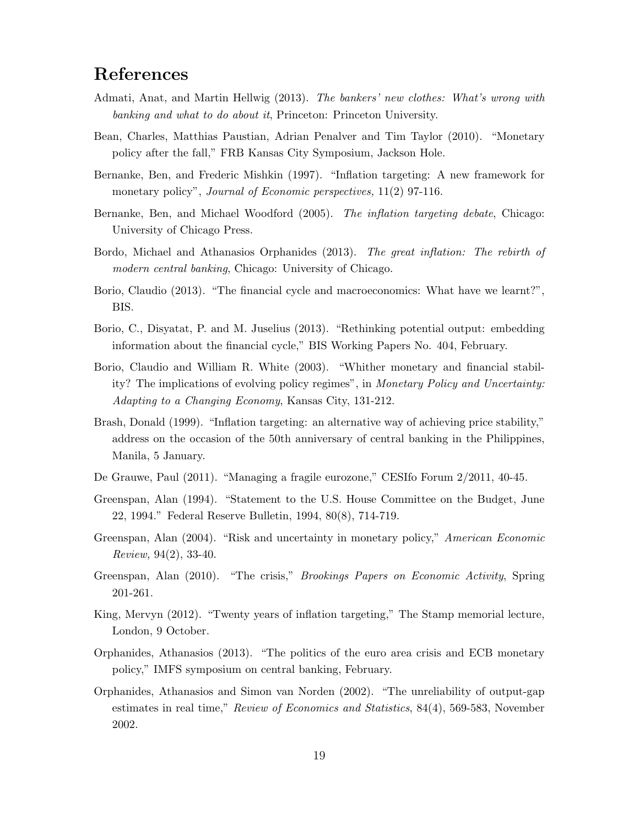## References

- Admati, Anat, and Martin Hellwig (2013). The bankers' new clothes: What's wrong with banking and what to do about it, Princeton: Princeton University.
- Bean, Charles, Matthias Paustian, Adrian Penalver and Tim Taylor (2010). "Monetary policy after the fall," FRB Kansas City Symposium, Jackson Hole.
- Bernanke, Ben, and Frederic Mishkin (1997). "Inflation targeting: A new framework for monetary policy", *Journal of Economic perspectives*,  $11(2)$  97-116.
- Bernanke, Ben, and Michael Woodford (2005). The inflation targeting debate, Chicago: University of Chicago Press.
- Bordo, Michael and Athanasios Orphanides (2013). The great inflation: The rebirth of modern central banking, Chicago: University of Chicago.
- Borio, Claudio (2013). "The financial cycle and macroeconomics: What have we learnt?", BIS.
- Borio, C., Disyatat, P. and M. Juselius (2013). "Rethinking potential output: embedding information about the financial cycle," BIS Working Papers No. 404, February.
- Borio, Claudio and William R. White (2003). "Whither monetary and financial stability? The implications of evolving policy regimes", in Monetary Policy and Uncertainty: Adapting to a Changing Economy, Kansas City, 131-212.
- Brash, Donald (1999). "Inflation targeting: an alternative way of achieving price stability," address on the occasion of the 50th anniversary of central banking in the Philippines, Manila, 5 January.
- De Grauwe, Paul (2011). "Managing a fragile eurozone," CESIfo Forum 2/2011, 40-45.
- Greenspan, Alan (1994). "Statement to the U.S. House Committee on the Budget, June 22, 1994." Federal Reserve Bulletin, 1994, 80(8), 714-719.
- Greenspan, Alan (2004). "Risk and uncertainty in monetary policy," American Economic Review, 94(2), 33-40.
- Greenspan, Alan (2010). "The crisis," Brookings Papers on Economic Activity, Spring 201-261.
- King, Mervyn (2012). "Twenty years of inflation targeting," The Stamp memorial lecture, London, 9 October.
- Orphanides, Athanasios (2013). "The politics of the euro area crisis and ECB monetary policy," IMFS symposium on central banking, February.
- Orphanides, Athanasios and Simon van Norden (2002). "The unreliability of output-gap estimates in real time," Review of Economics and Statistics, 84(4), 569-583, November 2002.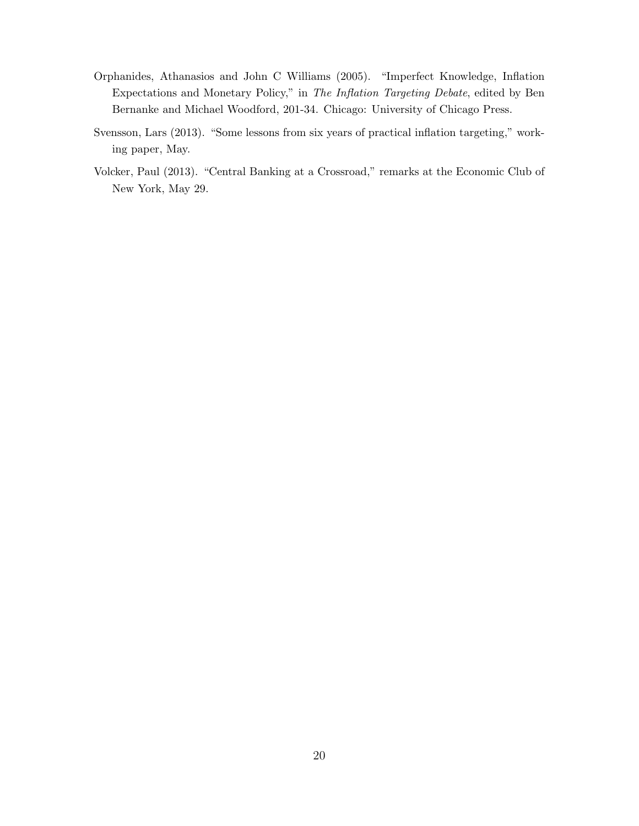- Orphanides, Athanasios and John C Williams (2005). "Imperfect Knowledge, Inflation Expectations and Monetary Policy," in The Inflation Targeting Debate, edited by Ben Bernanke and Michael Woodford, 201-34. Chicago: University of Chicago Press.
- Svensson, Lars (2013). "Some lessons from six years of practical inflation targeting," working paper, May.
- Volcker, Paul (2013). "Central Banking at a Crossroad," remarks at the Economic Club of New York, May 29.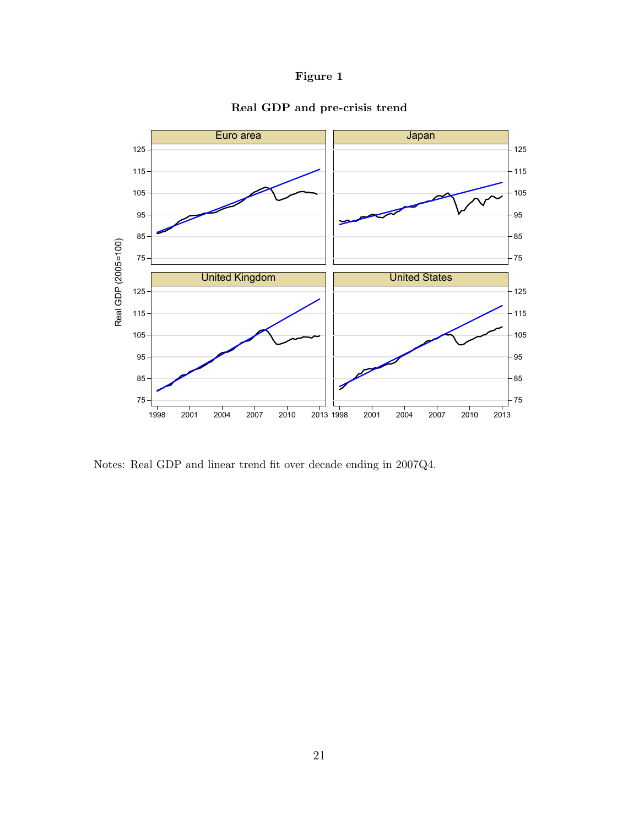#### Figure 1



#### Real GDP and pre-crisis trend

Notes: Real GDP and linear trend fit over decade ending in 2007Q4.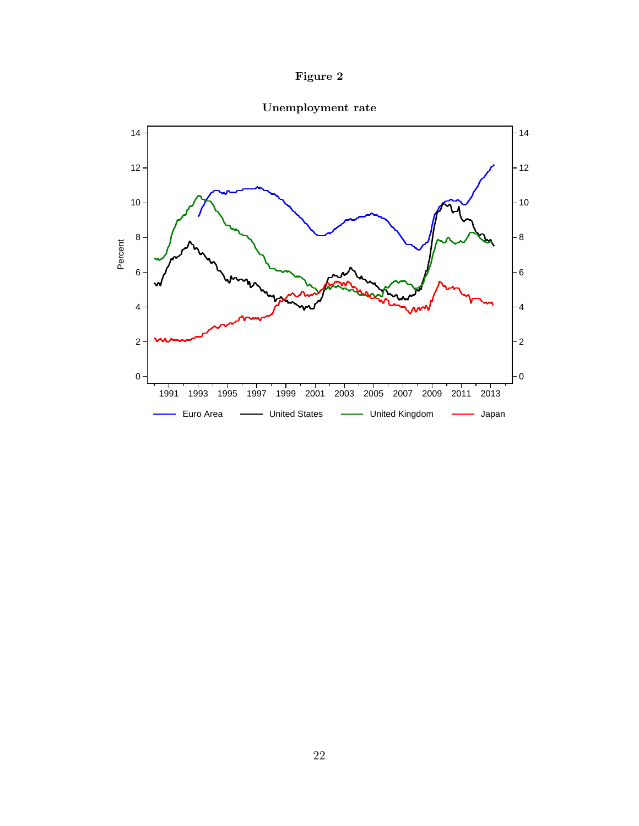



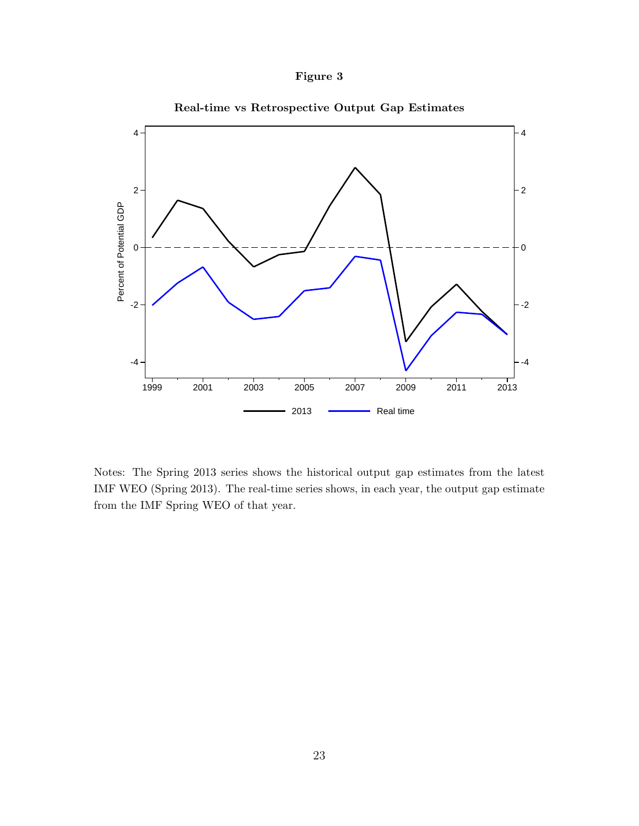



Real-time vs Retrospective Output Gap Estimates

Notes: The Spring 2013 series shows the historical output gap estimates from the latest IMF WEO (Spring 2013). The real-time series shows, in each year, the output gap estimate from the IMF Spring WEO of that year.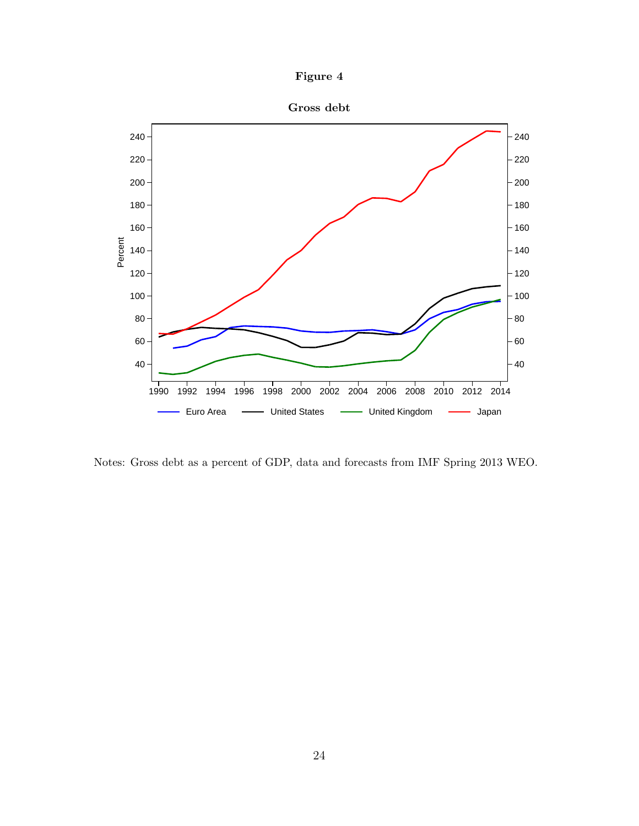



Notes: Gross debt as a percent of GDP, data and forecasts from IMF Spring 2013 WEO.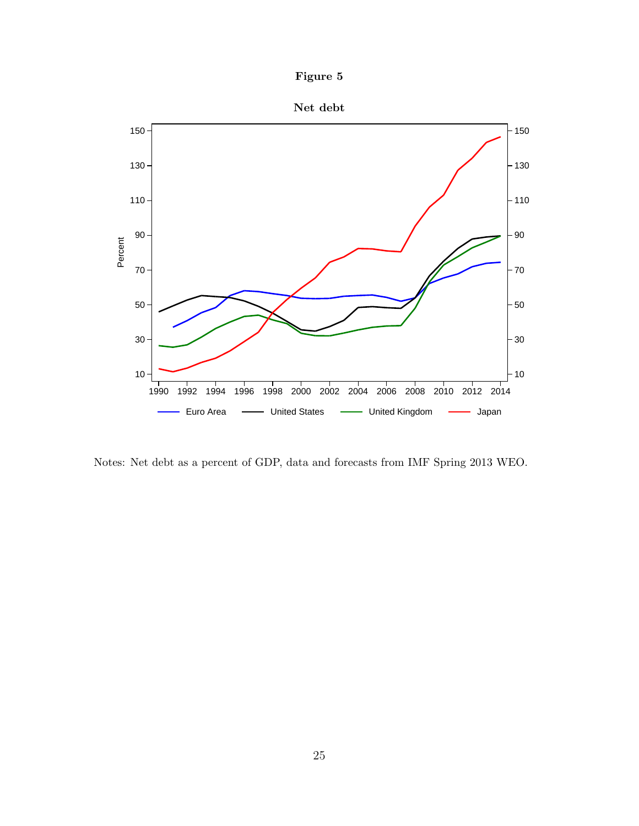



Notes: Net debt as a percent of GDP, data and forecasts from IMF Spring 2013 WEO.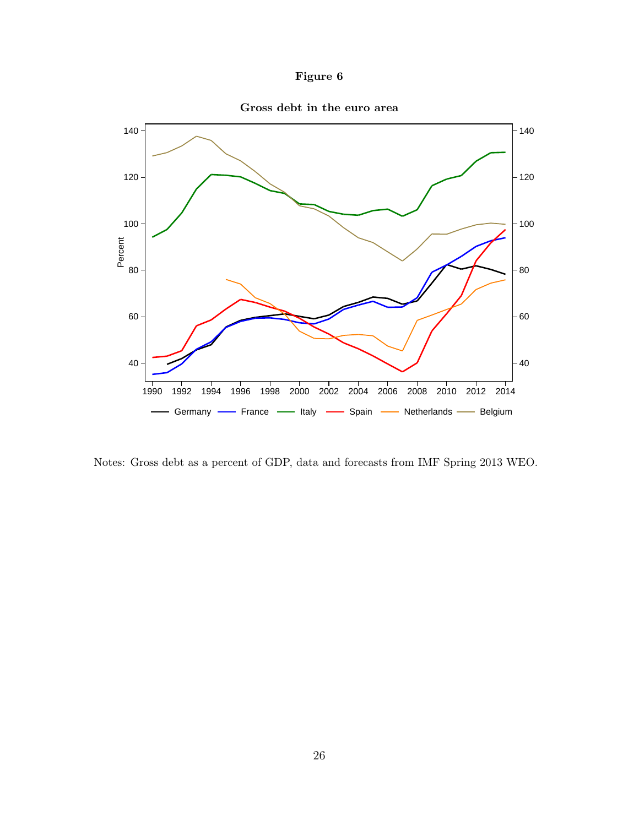



Notes: Gross debt as a percent of GDP, data and forecasts from IMF Spring 2013 WEO.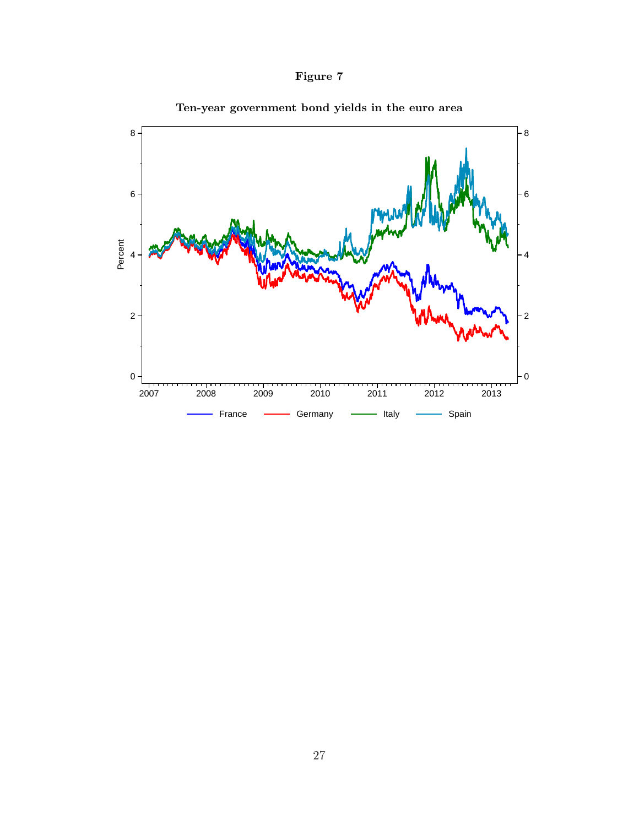



Ten-year government bond yields in the euro area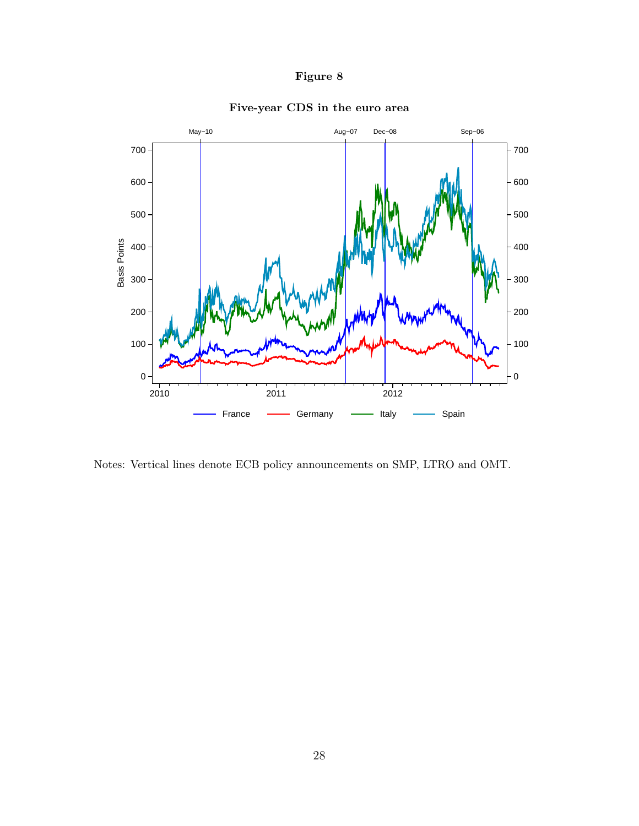#### Figure 8



#### Five-year CDS in the euro area

Notes: Vertical lines denote ECB policy announcements on SMP, LTRO and OMT.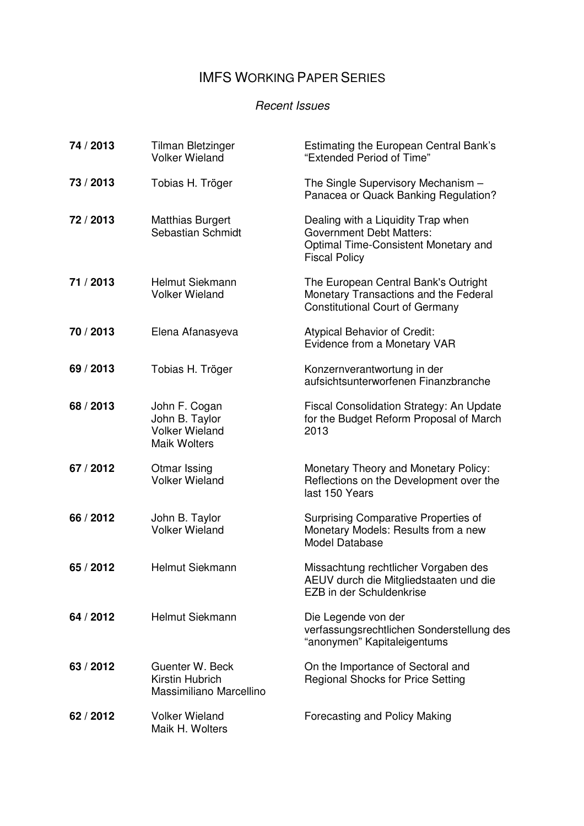## IMFS WORKING PAPER SERIES

#### Recent Issues

| 74 / 2013 | <b>Tilman Bletzinger</b><br><b>Volker Wieland</b>                               | Estimating the European Central Bank's<br>"Extended Period of Time"                                                                   |
|-----------|---------------------------------------------------------------------------------|---------------------------------------------------------------------------------------------------------------------------------------|
| 73 / 2013 | Tobias H. Tröger                                                                | The Single Supervisory Mechanism -<br>Panacea or Quack Banking Regulation?                                                            |
| 72 / 2013 | <b>Matthias Burgert</b><br>Sebastian Schmidt                                    | Dealing with a Liquidity Trap when<br><b>Government Debt Matters:</b><br>Optimal Time-Consistent Monetary and<br><b>Fiscal Policy</b> |
| 71 / 2013 | Helmut Siekmann<br><b>Volker Wieland</b>                                        | The European Central Bank's Outright<br>Monetary Transactions and the Federal<br><b>Constitutional Court of Germany</b>               |
| 70 / 2013 | Elena Afanasyeva                                                                | <b>Atypical Behavior of Credit:</b><br>Evidence from a Monetary VAR                                                                   |
| 69 / 2013 | Tobias H. Tröger                                                                | Konzernverantwortung in der<br>aufsichtsunterworfenen Finanzbranche                                                                   |
| 68 / 2013 | John F. Cogan<br>John B. Taylor<br><b>Volker Wieland</b><br><b>Maik Wolters</b> | Fiscal Consolidation Strategy: An Update<br>for the Budget Reform Proposal of March<br>2013                                           |
| 67 / 2012 | Otmar Issing<br><b>Volker Wieland</b>                                           | Monetary Theory and Monetary Policy:<br>Reflections on the Development over the<br>last 150 Years                                     |
| 66 / 2012 | John B. Taylor<br><b>Volker Wieland</b>                                         | Surprising Comparative Properties of<br>Monetary Models: Results from a new<br>Model Database                                         |
| 65 / 2012 | Helmut Siekmann                                                                 | Missachtung rechtlicher Vorgaben des<br>AEUV durch die Mitgliedstaaten und die<br>EZB in der Schuldenkrise                            |
| 64 / 2012 | <b>Helmut Siekmann</b>                                                          | Die Legende von der<br>verfassungsrechtlichen Sonderstellung des<br>"anonymen" Kapitaleigentums                                       |
| 63 / 2012 | Guenter W. Beck<br>Kirstin Hubrich<br>Massimiliano Marcellino                   | On the Importance of Sectoral and<br><b>Regional Shocks for Price Setting</b>                                                         |
| 62 / 2012 | <b>Volker Wieland</b><br>Maik H. Wolters                                        | Forecasting and Policy Making                                                                                                         |